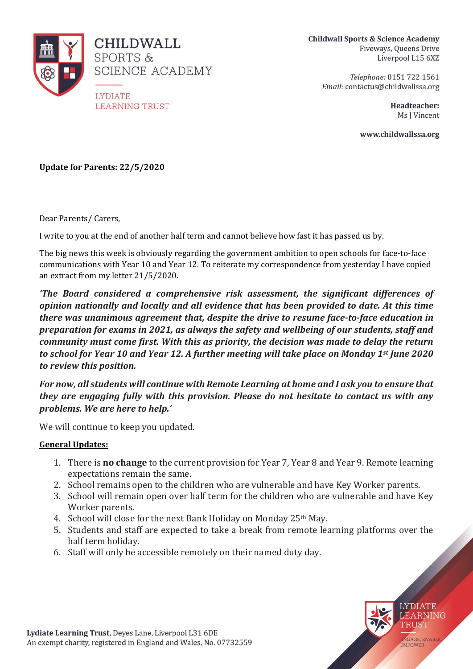

**Childwall Sports & Science Academy** Fiveways, Queens Drive Liverpool L15 6XZ

> Telephone: 0151 722 1561 Email: contactus@childwallssa.org

> > Headteacher: Ms J Vincent

www.childwallssa.org

**Update for Parents: 22/5/2020**

Dear Parents/ Carers,

I write to you at the end of another half term and cannot believe how fast it has passed us by.

The big news this week is obviously regarding the government ambition to open schools for face-to-face communications with Year 10 and Year 12. To reiterate my correspondence from yesterday I have copied an extract from my letter 21/5/2020.

*'The Board considered a comprehensive risk assessment, the significant differences of opinion nationally and locally and all evidence that has been provided to date. At this time there was unanimous agreement that, despite the drive to resume face-to-face education in preparation for exams in 2021, as always the safety and wellbeing of our students, staff and community must come first. With this as priority, the decision was made to delay the return to school for Year 10 and Year 12. A further meeting will take place on Monday 1st June 2020 to review this position.* 

*For now, all students will continue with Remote Learning at home and I ask you to ensure that they are engaging fully with this provision. Please do not hesitate to contact us with any problems. We are here to help.'*

We will continue to keep you updated.

## **General Updates:**

- 1. There is **no change** to the current provision for Year 7, Year 8 and Year 9. Remote learning expectations remain the same.
- 2. School remains open to the children who are vulnerable and have Key Worker parents.
- 3. School will remain open over half term for the children who are vulnerable and have Key Worker parents.
- 4. School will close for the next Bank Holiday on Monday 25th May.
- 5. Students and staff are expected to take a break from remote learning platforms over the half term holiday.
- 6. Staff will only be accessible remotely on their named duty day.